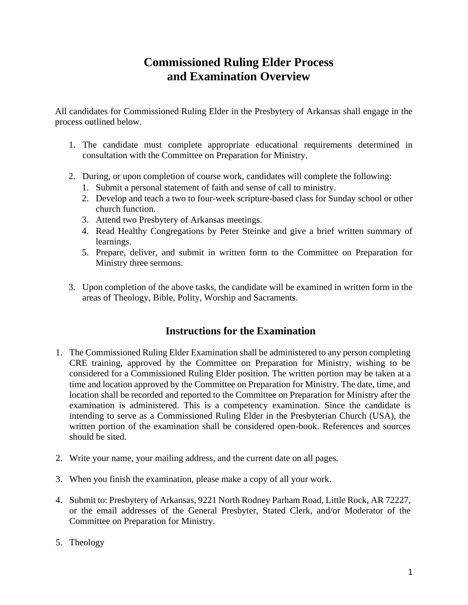# **Commissioned Ruling Elder Process and Examination Overview**

All candidates for Commissioned Ruling Elder in the Presbytery of Arkansas shall engage in the process outlined below.

- 1. The candidate must complete appropriate educational requirements determined in consultation with the Committee on Preparation for Ministry.
- 2. During, or upon completion of course work, candidates will complete the following:
	- 1. Submit a personal statement of faith and sense of call to ministry.
	- 2. Develop and teach a two to four-week scripture-based class for Sunday school or other church function.
	- 3. Attend two Presbytery of Arkansas meetings.
	- 4. Read Healthy Congregations by Peter Steinke and give a brief written summary of learnings.
	- 5. Prepare, deliver, and submit in written form to the Committee on Preparation for Ministry three sermons.
- 3. Upon completion of the above tasks, the candidate will be examined in written form in the areas of Theology, Bible, Polity, Worship and Sacraments.

## **Instructions for the Examination**

- 1. The Commissioned Ruling Elder Examination shall be administered to any person completing CRE training, approved by the Committee on Preparation for Ministry, wishing to be considered for a Commissioned Ruling Elder position. The written portion may be taken at a time and location approved by the Committee on Preparation for Ministry. The date, time, and location shall be recorded and reported to the Committee on Preparation for Ministry after the examination is administered. This is a competency examination. Since the candidate is intending to serve as a Commissioned Ruling Elder in the Presbyterian Church (USA), the written portion of the examination shall be considered open-book. References and sources should be sited.
- 2. Write your name, your mailing address, and the current date on all pages.
- 3. When you finish the examination, please make a copy of all your work.
- 4. Submit to: Presbytery of Arkansas, 9221 North Rodney Parham Road, Little Rock, AR 72227, or the email addresses of the General Presbyter, Stated Clerk, and/or Moderator of the Committee on Preparation for Ministry.
- 5. Theology